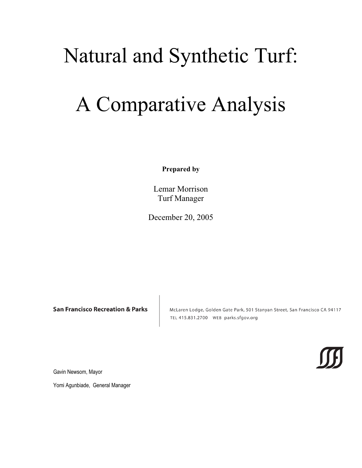# Natural and Synthetic Turf:

# A Comparative Analysis

**Prepared by**

Lemar Morrison Turf Manager

December 20, 2005

**San Francisco Recreation & Parks** 

McLaren Lodge, Golden Gate Park, 501 Stanyan Street, San Francisco CA 94117 TEL 415.831.2700 WEB parks.sfgov.org

Gavin Newsom, Mayor

Yomi Agunbiade, General Manager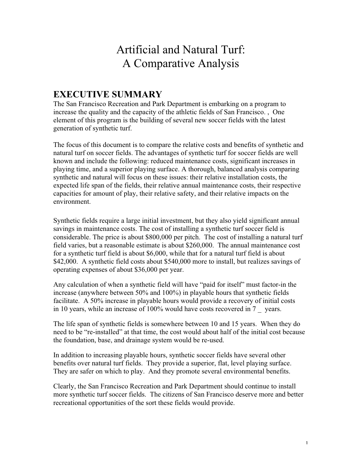# Artificial and Natural Turf: A Comparative Analysis

# **EXECUTIVE SUMMARY**

The San Francisco Recreation and Park Department is embarking on a program to increase the quality and the capacity of the athletic fields of San Francisco. , One element of this program is the building of several new soccer fields with the latest generation of synthetic turf.

The focus of this document is to compare the relative costs and benefits of synthetic and natural turf on soccer fields. The advantages of synthetic turf for soccer fields are well known and include the following: reduced maintenance costs, significant increases in playing time, and a superior playing surface. A thorough, balanced analysis comparing synthetic and natural will focus on these issues: their relative installation costs, the expected life span of the fields, their relative annual maintenance costs, their respective capacities for amount of play, their relative safety, and their relative impacts on the environment.

Synthetic fields require a large initial investment, but they also yield significant annual savings in maintenance costs. The cost of installing a synthetic turf soccer field is considerable. The price is about \$800,000 per pitch. The cost of installing a natural turf field varies, but a reasonable estimate is about \$260,000. The annual maintenance cost for a synthetic turf field is about \$6,000, while that for a natural turf field is about \$42,000. A synthetic field costs about \$540,000 more to install, but realizes savings of operating expenses of about \$36,000 per year.

Any calculation of when a synthetic field will have "paid for itself" must factor-in the increase (anywhere between 50% and 100%) in playable hours that synthetic fields facilitate. A 50% increase in playable hours would provide a recovery of initial costs in 10 years, while an increase of 100% would have costs recovered in 7 \_\_ years.

The life span of synthetic fields is somewhere between 10 and 15 years. When they do need to be "re-installed" at that time, the cost would about half of the initial cost because the foundation, base, and drainage system would be re-used.

In addition to increasing playable hours, synthetic soccer fields have several other benefits over natural turf fields. They provide a superior, flat, level playing surface. They are safer on which to play. And they promote several environmental benefits.

Clearly, the San Francisco Recreation and Park Department should continue to install more synthetic turf soccer fields. The citizens of San Francisco deserve more and better recreational opportunities of the sort these fields would provide.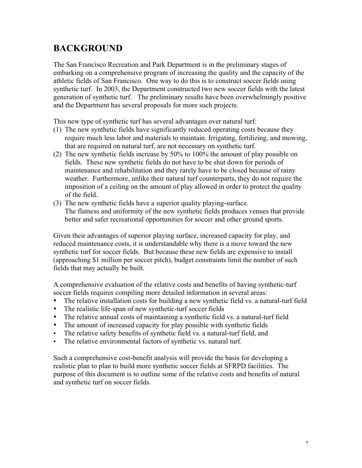# **BACKGROUND**

The San Francisco Recreation and Park Department is in the preliminary stages of embarking on a comprehensive program of increasing the quality and the capacity of the athletic fields of San Francisco. One way to do this is to construct soccer fields using synthetic turf. In 2003, the Department constructed two new soccer fields with the latest generation of synthetic turf. The preliminary results have been overwhelmingly positive and the Department has several proposals for more such projects.

This new type of synthetic turf has several advantages over natural turf:

- (1) The new synthetic fields have significantly reduced operating costs because they require much less labor and materials to maintain. Irrigating, fertilizing, and mowing, that are required on natural turf, are not necessary on synthetic turf.
- (2) The new synthetic fields increase by 50% to 100% the amount of play possible on fields. These new synthetic fields do not have to be shut down for periods of maintenance and rehabilitation and they rarely have to be closed because of rainy weather. Furthermore, unlike their natural turf counterparts, they do not require the imposition of a ceiling on the amount of play allowed in order to protect the quality of the field.
- (3) The new synthetic fields have a superior quality playing-surface. The flatness and uniformity of the new synthetic fields produces venues that provide better and safer recreational opportunities for soccer and other ground sports.

Given their advantages of superior playing surface, increased capacity for play, and reduced maintenance costs, it is understandable why there is a move toward the new synthetic turf for soccer fields. But because these new fields are expensive to install (approaching \$1 million per soccer pitch), budget constraints limit the number of such fields that may actually be built.

A comprehensive evaluation of the relative costs and benefits of having synthetic-turf soccer fields requires compiling more detailed information in several areas:

- $\Box$  The relative installation costs for building a new synthetic field vs. a natural-turf field
- $\Box$  The realistic life-span of new synthetic-turf soccer fields
- $\Box$  The relative annual costs of maintaining a synthetic field vs. a natural-turf field
- $\Box$  The amount of increased capacity for play possible with synthetic fields
- ∞ The relative safety benefits of synthetic field vs. a natural-turf field, and
- $\Box$  The relative environmental factors of synthetic vs. natural turf.

Such a comprehensive cost-benefit analysis will provide the basis for developing a realistic plan to plan to build more synthetic soccer fields at SFRPD facilities. The purpose of this document is to outline some of the relative costs and benefits of natural and synthetic turf on soccer fields.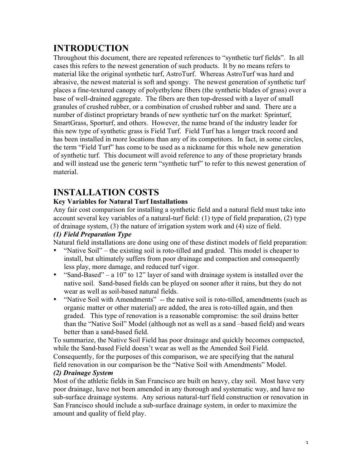# **INTRODUCTION**

Throughout this document, there are repeated references to "synthetic turf fields". In all cases this refers to the newest generation of such products. It by no means refers to material like the original synthetic turf, AstroTurf. Whereas AstroTurf was hard and abrasive, the newest material is soft and spongy. The newest generation of synthetic turf places a fine-textured canopy of polyethylene fibers (the synthetic blades of grass) over a base of well-drained aggregate. The fibers are then top-dressed with a layer of small granules of crushed rubber, or a combination of crushed rubber and sand. There are a number of distinct proprietary brands of new synthetic turf on the market: Sprinturf, SmartGrass, Sporturf, and others. However, the name brand of the industry leader for this new type of synthetic grass is Field Turf. Field Turf has a longer track record and has been installed in more locations than any of its competitors. In fact, in some circles, the term "Field Turf" has come to be used as a nickname for this whole new generation of synthetic turf. This document will avoid reference to any of these proprietary brands and will instead use the generic term "synthetic turf" to refer to this newest generation of material.

# **INSTALLATION COSTS**

## **Key Variables for Natural Turf Installations**

Any fair cost comparison for installing a synthetic field and a natural field must take into account several key variables of a natural-turf field: (1) type of field preparation, (2) type of drainage system, (3) the nature of irrigation system work and (4) size of field.

### *(1) Field Preparation Type*

Natural field installations are done using one of these distinct models of field preparation:

- $\Box$  "Native Soil" the existing soil is roto-tilled and graded. This model is cheaper to install, but ultimately suffers from poor drainage and compaction and consequently less play, more damage, and reduced turf vigor.
- $\Box$  "Sand-Based" a 10" to 12" layer of sand with drainage system is installed over the native soil. Sand-based fields can be played on sooner after it rains, but they do not wear as well as soil-based natural fields.
- □ "Native Soil with Amendments" -- the native soil is roto-tilled, amendments (such as organic matter or other material) are added, the area is roto-tilled again, and then graded. This type of renovation is a reasonable compromise: the soil drains better than the "Native Soil" Model (although not as well as a sand –based field) and wears better than a sand-based field.

To summarize, the Native Soil Field has poor drainage and quickly becomes compacted, while the Sand-based Field doesn't wear as well as the Amended Soil Field.

Consequently, for the purposes of this comparison, we are specifying that the natural field renovation in our comparison be the "Native Soil with Amendments" Model.

#### *(2) Drainage System*

Most of the athletic fields in San Francisco are built on heavy, clay soil. Most have very poor drainage, have not been amended in any thorough and systematic way, and have no sub-surface drainage systems. Any serious natural-turf field construction or renovation in San Francisco should include a sub-surface drainage system, in order to maximize the amount and quality of field play.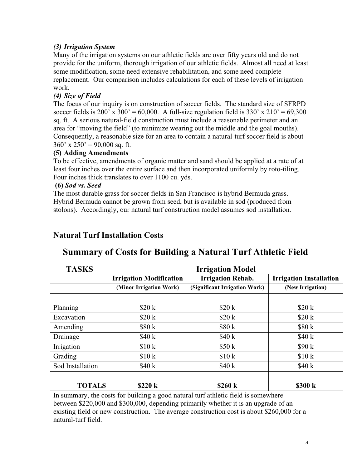## *(3) Irrigation System*

Many of the irrigation systems on our athletic fields are over fifty years old and do not provide for the uniform, thorough irrigation of our athletic fields. Almost all need at least some modification, some need extensive rehabilitation, and some need complete replacement. Our comparison includes calculations for each of these levels of irrigation work.

## *(4) Size of Field*

The focus of our inquiry is on construction of soccer fields. The standard size of SFRPD soccer fields is 200' x 300' = 60,000. A full-size regulation field is 330' x 210' = 69,300 sq. ft. A serious natural-field construction must include a reasonable perimeter and an area for "moving the field" (to minimize wearing out the middle and the goal mouths). Consequently, a reasonable size for an area to contain a natural-turf soccer field is about  $360'$  x  $250'$  = 90,000 sq. ft.

#### **(5) Adding Amendments**

To be effective, amendments of organic matter and sand should be applied at a rate of at least four inches over the entire surface and then incorporated uniformly by roto-tiling. Four inches thick translates to over 1100 cu. yds.

#### **(6)** *Sod vs. Seed*

The most durable grass for soccer fields in San Francisco is hybrid Bermuda grass. Hybrid Bermuda cannot be grown from seed, but is available in sod (produced from stolons). Accordingly, our natural turf construction model assumes sod installation.

## **Natural Turf Installation Costs**

# **TASKS Irrigation Model Irrigation Modification Irrigation Rehab. Irrigation Installation (Minor Irrigation Work) (Significant Irrigation Work) (New Irrigation)** Planning  $$20 \text{ k}$   $$20 \text{ k}$   $$20 \text{ k}$   $$20 \text{ k}$   $$20 \text{ k}$ Excavation  $$20 \text{ k}$   $$20 \text{ k}$   $$20 \text{ k}$   $$20 \text{ k}$   $$20 \text{ k}$ Amending  $$80 \text{ k}$   $$80 \text{ k}$   $$80 \text{ k}$   $$80 \text{ k}$   $$80 \text{ k}$ Drainage  $$40 \text{ k}$   $$40 \text{ k}$   $$40 \text{ k}$   $$40 \text{ k}$   $$40 \text{ k}$ Irrigation  $$10 \text{ k}$   $$50 \text{ k}$   $$90 \text{ k}$ Grading  $$10 k$   $$10 k$   $$10 k$   $$10 k$   $$10 k$ Sod Installation \$40 k \$40 k \$40 k **TOTALS \$220 k \$260 k \$300 k**

## **Summary of Costs for Building a Natural Turf Athletic Field**

In summary, the costs for building a good natural turf athletic field is somewhere between \$220,000 and \$300,000, depending primarily whether it is an upgrade of an existing field or new construction. The average construction cost is about \$260,000 for a natural-turf field.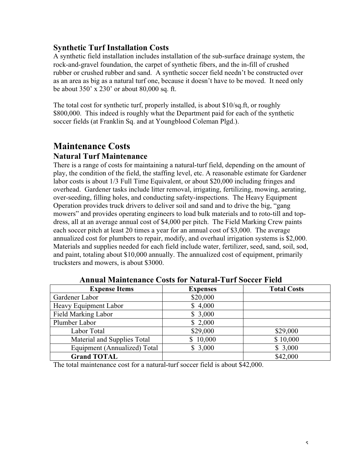## **Synthetic Turf Installation Costs**

A synthetic field installation includes installation of the sub-surface drainage system, the rock-and-gravel foundation, the carpet of synthetic fibers, and the in-fill of crushed rubber or crushed rubber and sand. A synthetic soccer field needn't be constructed over as an area as big as a natural turf one, because it doesn't have to be moved. It need only be about 350' x 230' or about 80,000 sq. ft.

The total cost for synthetic turf, properly installed, is about \$10/sq.ft, or roughly \$800,000. This indeed is roughly what the Department paid for each of the synthetic soccer fields (at Franklin Sq. and at Youngblood Coleman Plgd.).

# **Maintenance Costs**

## **Natural Turf Maintenance**

There is a range of costs for maintaining a natural-turf field, depending on the amount of play, the condition of the field, the staffing level, etc. A reasonable estimate for Gardener labor costs is about 1/3 Full Time Equivalent, or about \$20,000 including fringes and overhead. Gardener tasks include litter removal, irrigating, fertilizing, mowing, aerating, over-seeding, filling holes, and conducting safety-inspections. The Heavy Equipment Operation provides truck drivers to deliver soil and sand and to drive the big, "gang mowers" and provides operating engineers to load bulk materials and to roto-till and topdress, all at an average annual cost of \$4,000 per pitch. The Field Marking Crew paints each soccer pitch at least 20 times a year for an annual cost of \$3,000. The average annualized cost for plumbers to repair, modify, and overhaul irrigation systems is \$2,000. Materials and supplies needed for each field include water, fertilizer, seed, sand, soil, sod, and paint, totaling about \$10,000 annually. The annualized cost of equipment, primarily trucksters and mowers, is about \$3000.

| <b>Expense Items</b>         | <b>Expenses</b> | <b>Total Costs</b> |  |
|------------------------------|-----------------|--------------------|--|
| Gardener Labor               | \$20,000        |                    |  |
| Heavy Equipment Labor        | \$4,000         |                    |  |
| <b>Field Marking Labor</b>   | \$3,000         |                    |  |
| Plumber Labor                | \$2,000         |                    |  |
| Labor Total                  | \$29,000        | \$29,000           |  |
| Material and Supplies Total  | \$10,000        | \$10,000           |  |
| Equipment (Annualized) Total | \$3,000         | \$3,000            |  |
| <b>Grand TOTAL</b>           |                 | \$42,000           |  |

#### **Annual Maintenance Costs for Natural-Turf Soccer Field**

The total maintenance cost for a natural-turf soccer field is about \$42,000.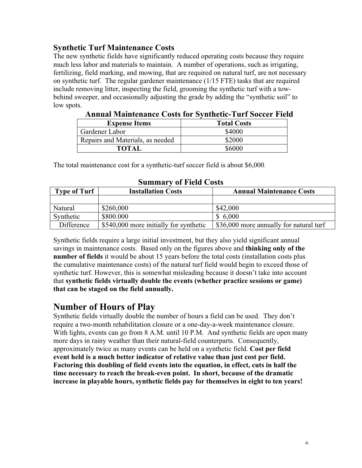## **Synthetic Turf Maintenance Costs**

The new synthetic fields have significantly reduced operating costs because they require much less labor and materials to maintain. A number of operations, such as irrigating, fertilizing, field marking, and mowing, that are required on natural turf, are not necessary on synthetic turf. The regular gardener maintenance (1/15 FTE) tasks that are required include removing litter, inspecting the field, grooming the synthetic turf with a towbehind sweeper, and occasionally adjusting the grade by adding the "synthetic soil" to low spots.

| Annual Maintenance Costs for Synthetic-Turi Soccer Field |                    |  |
|----------------------------------------------------------|--------------------|--|
| <b>Expense Items</b>                                     | <b>Total Costs</b> |  |
| Gardener Labor                                           | \$4000             |  |
| Repairs and Materials, as needed                         | \$2000             |  |
| <b>TOTAL</b>                                             | \$6000             |  |

**Annual Maintenance Costs for Synthetic-Turf Soccer Field**

The total maintenance cost for a synthetic-turf soccer field is about \$6,000.

| SUMMALY VI FIERR COSIS |                                        |                                         |  |
|------------------------|----------------------------------------|-----------------------------------------|--|
| <b>Type of Turf</b>    | <b>Installation Costs</b>              | <b>Annual Maintenance Costs</b>         |  |
|                        |                                        |                                         |  |
| Natural                | \$260,000                              | \$42,000                                |  |
| Synthetic              | \$800,000                              | \$6,000                                 |  |
| Difference             | \$540,000 more initially for synthetic | \$36,000 more annually for natural turf |  |

**Summary of Field Costs**

Synthetic fields require a large initial investment, but they also yield significant annual savings in maintenance costs. Based only on the figures above and **thinking only of the number of fields** it would be about 15 years before the total costs (installation costs plus the cumulative maintenance costs) of the natural turf field would begin to exceed those of synthetic turf. However, this is somewhat misleading because it doesn't take into account that **synthetic fields virtually double the events (whether practice sessions or game) that can be staged on the field annually.**

## **Number of Hours of Play**

Synthetic fields virtually double the number of hours a field can be used. They don't require a two-month rehabilitation closure or a one-day-a-week maintenance closure. With lights, events can go from 8 A.M. until 10 P.M. And synthetic fields are open many more days in rainy weather than their natural-field counterparts. Consequently, approximately twice as many events can be held on a synthetic field. **Cost per field event held is a much better indicator of relative value than just cost per field. Factoring this doubling of field events into the equation, in effect, cuts in half the time necessary to reach the break-even point. In short, because of the dramatic increase in playable hours, synthetic fields pay for themselves in eight to ten years!**